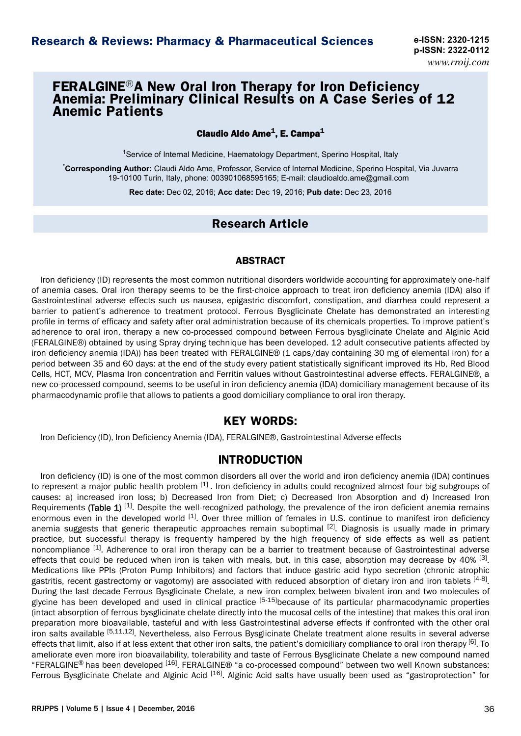# **FERALGINE®A New Oral Iron Therapy for Iron Deficiency Anemia: Preliminary Clinical Results on A Case Series of 12 Anemic Patients**

### Claudio Aldo Ame $^1$ , E. Campa $^1$

<sup>1</sup>Service of Internal Medicine, Haematology Department, Sperino Hospital, Italy

\***Corresponding Author:** Claudi Aldo Ame, Professor, Service of Internal Medicine, Sperino Hospital, Via Juvarra 19-10100 Turin, Italy, phone: 003901068595165; E-mail: claudioaldo.ame@gmail.com

**Rec date:** Dec 02, 2016; **Acc date:** Dec 19, 2016; **Pub date:** Dec 23, 2016

# **Research Article**

### ABSTRACT

Iron deficiency (ID) represents the most common nutritional disorders worldwide accounting for approximately one-half of anemia cases. Oral iron therapy seems to be the first-choice approach to treat iron deficiency anemia (IDA) also if Gastrointestinal adverse effects such us nausea, epigastric discomfort, constipation, and diarrhea could represent a barrier to patient's adherence to treatment protocol. Ferrous Bysglicinate Chelate has demonstrated an interesting profile in terms of efficacy and safety after oral administration because of its chemicals properties. To improve patient's adherence to oral iron, therapy a new co-processed compound between Ferrous bysglicinate Chelate and Alginic Acid (FERALGINE®) obtained by using Spray drying technique has been developed. 12 adult consecutive patients affected by iron deficiency anemia (IDA)) has been treated with FERALGINE® (1 caps/day containing 30 mg of elemental iron) for a period between 35 and 60 days: at the end of the study every patient statistically significant improved its Hb, Red Blood Cells, HCT, MCV, Plasma Iron concentration and Ferritin values without Gastrointestinal adverse effects. FERALGINE®, a new co-processed compound, seems to be useful in iron deficiency anemia (IDA) domiciliary management because of its pharmacodynamic profile that allows to patients a good domiciliary compliance to oral iron therapy.

# **KEY WORDS:**

Iron Deficiency (ID), Iron Deficiency Anemia (IDA), FERALGINE®, Gastrointestinal Adverse effects

# **INTRODUCTION**

Iron deficiency (ID) is one of the most common disorders all over the world and iron deficiency anemia (IDA) continues to represent a major public health problem  $^{[1]}$ . Iron deficiency in adults could recognized almost four big subgroups of causes: a) increased iron loss; b) Decreased Iron from Diet; c) Decreased Iron Absorption and d) Increased Iron Requirements (Table 1)  $[1]$ . Despite the well-recognized pathology, the prevalence of the iron deficient anemia remains enormous even in the developed world  $[1]$ . Over three million of females in U.S. continue to manifest iron deficiency anemia suggests that generic therapeutic approaches remain suboptimal <sup>[2]</sup>. Diagnosis is usually made in primary practice, but successful therapy is frequently hampered by the high frequency of side effects as well as patient noncompliance [1]. Adherence to oral iron therapy can be a barrier to treatment because of Gastrointestinal adverse effects that could be reduced when iron is taken with meals, but, in this case, absorption may decrease by 40% <sup>[3]</sup>. Medications like PPIs (Proton Pump Inhibitors) and factors that induce gastric acid hypo secretion (chronic atrophic gastritis, recent gastrectomy or vagotomy) are associated with reduced absorption of dietary iron and iron tablets <sup>[4-8]</sup>. During the last decade Ferrous Bysglicinate Chelate, a new iron complex between bivalent iron and two molecules of glycine has been developed and used in clinical practice  $[5-15]$ because of its particular pharmacodynamic properties (intact absorption of ferrous bysglicinate chelate directly into the mucosal cells of the intestine) that makes this oral iron preparation more bioavailable, tasteful and with less Gastrointestinal adverse effects if confronted with the other oral iron salts available [5,11,12]. Nevertheless, also Ferrous Bysglicinate Chelate treatment alone results in several adverse effects that limit, also if at less extent that other iron salts, the patient's domiciliary compliance to oral iron therapy [6]. To ameliorate even more iron bioavailability, tolerability and taste of Ferrous Bysglicinate Chelate a new compound named "FERALGINE® has been developed [16]. FERALGINE® "a co-processed compound" between two well Known substances: Ferrous Bysglicinate Chelate and Alginic Acid [16]. Alginic Acid salts have usually been used as "gastroprotection" for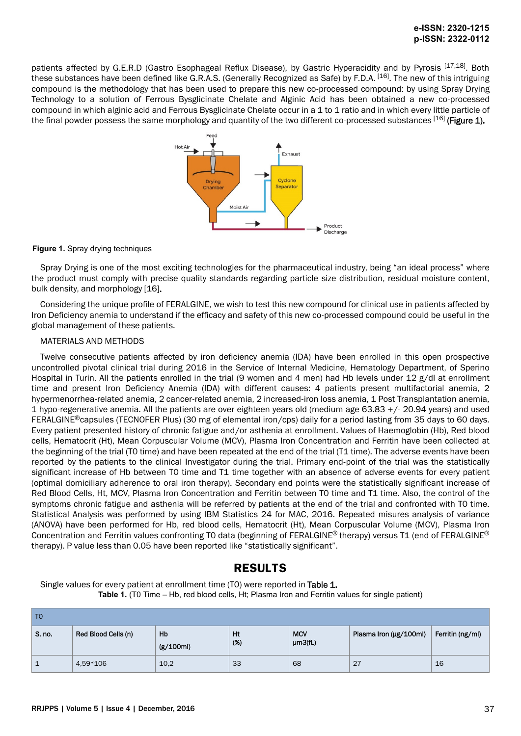patients affected by G.E.R.D (Gastro Esophageal Reflux Disease), by Gastric Hyperacidity and by Pyrosis [17,18]. Both these substances have been defined like G.R.A.S. (Generally Recognized as Safe) by F.D.A. [16]. The new of this intriguing compound is the methodology that has been used to prepare this new co-processed compound: by using Spray Drying Technology to a solution of Ferrous Bysglicinate Chelate and Alginic Acid has been obtained a new co-processed compound in which alginic acid and Ferrous Bysglicinate Chelate occur in a 1 to 1 ratio and in which every little particle of the final powder possess the same morphology and quantity of the two different co-processed substances  $[16]$  (Figure 1).



#### **Figure 1.** Spray drying techniques

Spray Drying is one of the most exciting technologies for the pharmaceutical industry, being "an ideal process" where the product must comply with precise quality standards regarding particle size distribution, residual moisture content, bulk density, and morphology [16].

Considering the unique profile of FERALGINE, we wish to test this new compound for clinical use in patients affected by Iron Deficiency anemia to understand if the efficacy and safety of this new co-processed compound could be useful in the global management of these patients.

#### MATERIALS AND METHODS

Twelve consecutive patients affected by iron deficiency anemia (IDA) have been enrolled in this open prospective uncontrolled pivotal clinical trial during 2016 in the Service of Internal Medicine, Hematology Department, of Sperino Hospital in Turin. All the patients enrolled in the trial (9 women and 4 men) had Hb levels under 12 g/dl at enrollment time and present Iron Deficiency Anemia (IDA) with different causes: 4 patients present multifactorial anemia, 2 hypermenorrhea-related anemia, 2 cancer-related anemia, 2 increased-iron loss anemia, 1 Post Transplantation anemia, 1 hypo-regenerative anemia. All the patients are over eighteen years old (medium age 63.83 +/- 20.94 years) and used FERALGINE®capsules (TECNOFER Plus) (30 mg of elemental iron/cps) daily for a period lasting from 35 days to 60 days. Every patient presented history of chronic fatigue and/or asthenia at enrollment. Values of Haemoglobin (Hb), Red blood cells, Hematocrit (Ht), Mean Corpuscular Volume (MCV), Plasma Iron Concentration and Ferritin have been collected at the beginning of the trial (T0 time) and have been repeated at the end of the trial (T1 time). The adverse events have been reported by the patients to the clinical Investigator during the trial. Primary end-point of the trial was the statistically significant increase of Hb between T0 time and T1 time together with an absence of adverse events for every patient (optimal domiciliary adherence to oral iron therapy). Secondary end points were the statistically significant increase of Red Blood Cells, Ht, MCV, Plasma Iron Concentration and Ferritin between T0 time and T1 time. Also, the control of the symptoms chronic fatigue and asthenia will be referred by patients at the end of the trial and confronted with T0 time. Statistical Analysis was performed by using IBM Statistics 24 for MAC, 2016. Repeated misures analysis of variance (ANOVA) have been performed for Hb, red blood cells, Hematocrit (Ht), Mean Corpuscular Volume (MCV), Plasma Iron Concentration and Ferritin values confronting T0 data (beginning of FERALGINE<sup>®</sup> therapy) versus T1 (end of FERALGINE<sup>®</sup> therapy). P value less than 0.05 have been reported like "statistically significant".

# **RESULTS**

Single values for every patient at enrollment time (TO) were reported in Table 1. **Table 1.** (T0 Time – Hb, red blood cells, Ht; Plasma Iron and Ferritin values for single patient)

| T <sub>0</sub> |                     |                 |           |                       |                        |                  |
|----------------|---------------------|-----------------|-----------|-----------------------|------------------------|------------------|
| S. no.         | Red Blood Cells (n) | Hb<br>(g/100ml) | Ht<br>(%) | <b>MCV</b><br>µm3(fL) | Plasma Iron (µg/100ml) | Ferritin (ng/ml) |
|                | 4,59*106            | 10,2            | 33        | 68                    | 27                     | 16               |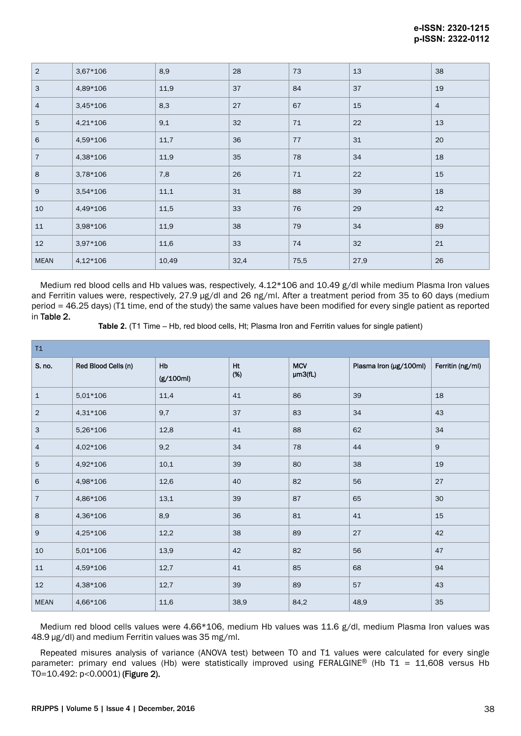| $\overline{2}$ | 3,67*106   | 8,9   | 28   | 73   | 13   | 38             |
|----------------|------------|-------|------|------|------|----------------|
| 3              | 4,89*106   | 11,9  | 37   | 84   | 37   | 19             |
| $\overline{4}$ | $3,45*106$ | 8,3   | 27   | 67   | 15   | $\overline{4}$ |
| 5              | 4,21*106   | 9,1   | 32   | 71   | 22   | 13             |
| 6              | 4,59*106   | 11,7  | 36   | 77   | 31   | 20             |
| $\overline{7}$ | 4,38*106   | 11,9  | 35   | 78   | 34   | 18             |
| 8              | 3,78*106   | 7,8   | 26   | 71   | 22   | 15             |
| $\overline{9}$ | 3,54*106   | 11,1  | 31   | 88   | 39   | 18             |
| 10             | 4,49*106   | 11,5  | 33   | 76   | 29   | 42             |
| 11             | 3,98*106   | 11,9  | 38   | 79   | 34   | 89             |
| 12             | 3,97*106   | 11,6  | 33   | 74   | 32   | 21             |
| <b>MEAN</b>    | 4,12*106   | 10,49 | 32,4 | 75,5 | 27,9 | 26             |

Medium red blood cells and Hb values was, respectively, 4.12\*106 and 10.49 g/dl while medium Plasma Iron values and Ferritin values were, respectively, 27.9 µg/dl and 26 ng/ml. After a treatment period from 35 to 60 days (medium period = 46.25 days) (T1 time, end of the study) the same values have been modified for every single patient as reported in Table 2.

**Table 2.** (T1 Time – Hb, red blood cells, Ht; Plasma Iron and Ferritin values for single patient)

| T1             |                     |                 |           |                       |                        |                  |  |
|----------------|---------------------|-----------------|-----------|-----------------------|------------------------|------------------|--|
| S. no.         | Red Blood Cells (n) | Hb<br>(g/100ml) | Ht<br>(%) | <b>MCV</b><br>µm3(fL) | Plasma Iron (µg/100ml) | Ferritin (ng/ml) |  |
| $\mathbf{1}$   | 5,01*106            | 11,4            | 41        | 86                    | 39                     | 18               |  |
| $\overline{2}$ | 4,31*106            | 9,7             | 37        | 83                    | 34                     | 43               |  |
| $\mathbf{3}$   | 5,26*106            | 12,8            | 41        | 88                    | 62                     | 34               |  |
| $\overline{4}$ | 4,02*106            | 9,2             | 34        | 78                    | 44                     | $9$              |  |
| $\overline{5}$ | 4,92*106            | 10,1            | 39        | 80                    | 38                     | 19               |  |
| 6              | 4,98*106            | 12,6            | 40        | 82                    | 56                     | 27               |  |
| $\overline{7}$ | 4,86*106            | 13,1            | 39        | 87                    | 65                     | 30               |  |
| $\,$ 8         | 4,36*106            | 8,9             | 36        | 81                    | 41                     | 15               |  |
| 9              | 4,25*106            | 12,2            | 38        | 89                    | 27                     | 42               |  |
| $10$           | $5,01*106$          | 13,9            | 42        | 82                    | 56                     | 47               |  |
| 11             | 4,59*106            | 12,7            | 41        | 85                    | 68                     | 94               |  |
| 12             | 4,38*106            | 12,7            | 39        | 89                    | 57                     | 43               |  |
| <b>MEAN</b>    | 4,66*106            | 11,6            | 38,9      | 84,2                  | 48,9                   | 35               |  |

Medium red blood cells values were 4.66\*106, medium Hb values was 11.6 g/dl, medium Plasma Iron values was 48.9 µg/dl) and medium Ferritin values was 35 mg/ml.

Repeated misures analysis of variance (ANOVA test) between T0 and T1 values were calculated for every single parameter: primary end values (Hb) were statistically improved using FERALGINE® (Hb T1 = 11,608 versus Hb T0=10.492: p<0.0001) (Figure 2).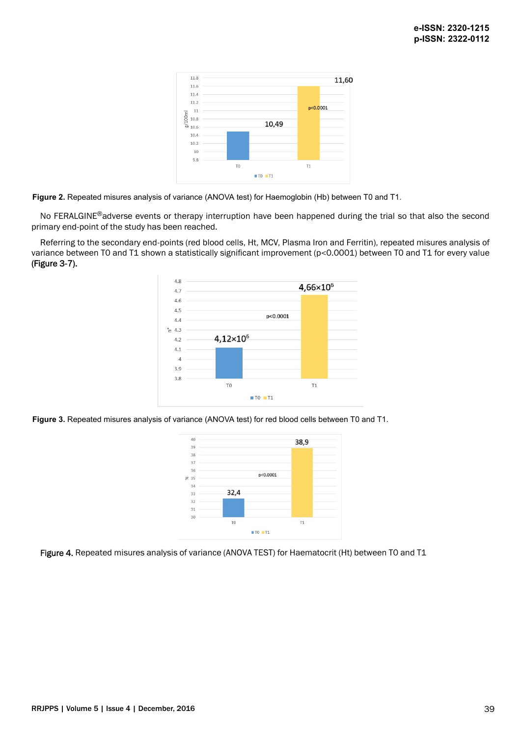

**Figure 2.** Repeated misures analysis of variance (ANOVA test) for Haemoglobin (Hb) between T0 and T1.

No FERALGINE<sup>®</sup>adverse events or therapy interruption have been happened during the trial so that also the second primary end-point of the study has been reached.

Referring to the secondary end-points (red blood cells, Ht, MCV, Plasma Iron and Ferritin), repeated misures analysis of variance between T0 and T1 shown a statistically significant improvement (p<0.0001) between T0 and T1 for every value (Figure 3-7).



**Figure 3.** Repeated misures analysis of variance (ANOVA test) for red blood cells between T0 and T1.



Figure 4. Repeated misures analysis of variance (ANOVA TEST) for Haematocrit (Ht) between T0 and T1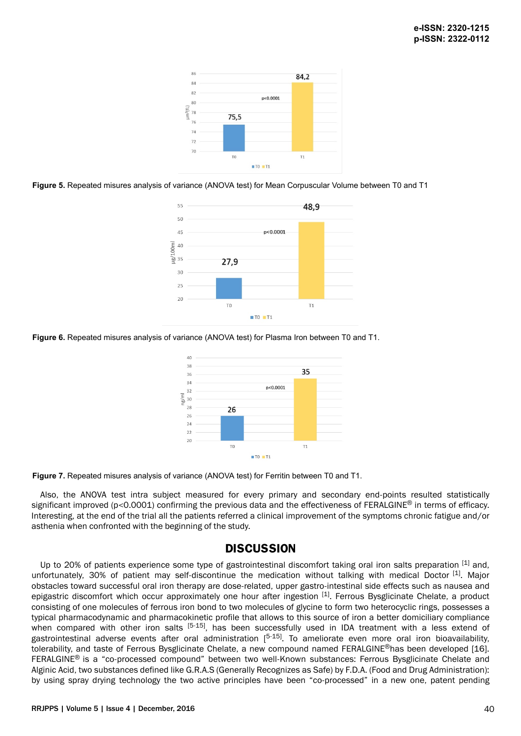

**Figure 5.** Repeated misures analysis of variance (ANOVA test) for Mean Corpuscular Volume between T0 and T1



**Figure 6.** Repeated misures analysis of variance (ANOVA test) for Plasma Iron between T0 and T1.



**Figure 7.** Repeated misures analysis of variance (ANOVA test) for Ferritin between T0 and T1.

Also, the ANOVA test intra subject measured for every primary and secondary end-points resulted statistically significant improved (p<0.0001) confirming the previous data and the effectiveness of FERALGINE<sup>®</sup> in terms of efficacy. Interesting, at the end of the trial all the patients referred a clinical improvement of the symptoms chronic fatigue and/or asthenia when confronted with the beginning of the study.

# **DISCUSSION**

Up to 20% of patients experience some type of gastrointestinal discomfort taking oral iron salts preparation [1] and, unfortunately, 30% of patient may self-discontinue the medication without talking with medical Doctor [1]. Major obstacles toward successful oral iron therapy are dose-related, upper gastro-intestinal side effects such as nausea and epigastric discomfort which occur approximately one hour after ingestion [1]. Ferrous Bysglicinate Chelate, a product consisting of one molecules of ferrous iron bond to two molecules of glycine to form two heterocyclic rings, possesses a typical pharmacodynamic and pharmacokinetic profile that allows to this source of iron a better domiciliary compliance when compared with other iron salts <sup>[5-15]</sup>, has been successfully used in IDA treatment with a less extend of gastrointestinal adverse events after oral administration [<sup>5-15]</sup>. To ameliorate even more oral iron bioavailability, tolerability, and taste of Ferrous Bysglicinate Chelate, a new compound named FERALGINE<sup>®</sup>has been developed [16]. FERALGINE® is a "co-processed compound" between two well-Known substances: Ferrous Bysglicinate Chelate and Alginic Acid, two substances defined like G.R.A.S (Generally Recognizes as Safe) by F.D.A. (Food and Drug Administration): by using spray drying technology the two active principles have been "co-processed" in a new one, patent pending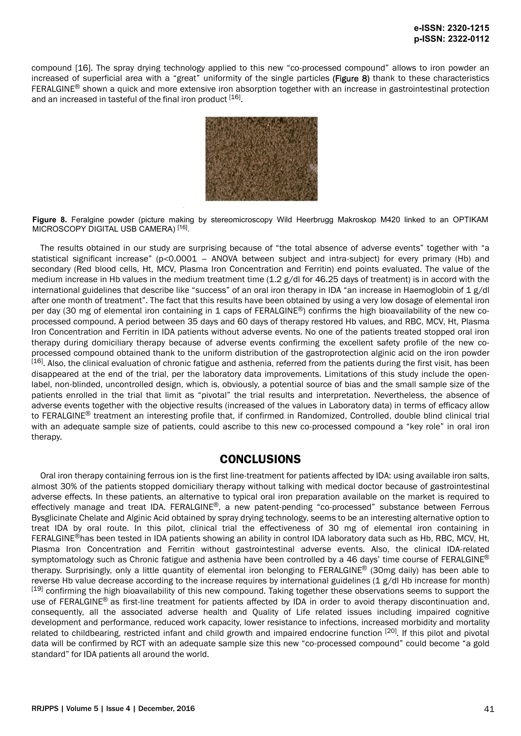compound [16]. The spray drying technology applied to this new "co-processed compound" allows to iron powder an increased of superficial area with a "great" uniformity of the single particles (Figure 8) thank to these characteristics FERALGINE<sup>®</sup> shown a quick and more extensive iron absorption together with an increase in gastrointestinal protection and an increased in tasteful of the final iron product [16].



**Figure 8.** Feralgine powder (picture making by stereomicroscopy Wild Heerbrugg Makroskop M420 linked to an OPTIKAM MICROSCOPY DIGITAL USB CAMERA)<sup>[16]</sup>.

The results obtained in our study are surprising because of "the total absence of adverse events" together with "a statistical significant increase" (p<0.0001 – ANOVA between subject and intra-subject) for every primary (Hb) and secondary (Red blood cells, Ht, MCV, Plasma Iron Concentration and Ferritin) end points evaluated. The value of the medium increase in Hb values in the medium treatment time  $(1.2 \text{ g}/\text{d})$  for 46.25 days of treatment) is in accord with the international guidelines that describe like "success" of an oral iron therapy in IDA "an increase in Haemoglobin of 1 g/dl after one month of treatment". The fact that this results have been obtained by using a very low dosage of elemental iron per day (30 mg of elemental iron containing in 1 caps of FERALGINE<sup>®</sup>) confirms the high bioavailability of the new coprocessed compound. A period between 35 days and 60 days of therapy restored Hb values, and RBC, MCV, Ht, Plasma Iron Concentration and Ferritin in IDA patients without adverse events. No one of the patients treated stopped oral iron therapy during domiciliary therapy because of adverse events confirming the excellent safety profile of the new coprocessed compound obtained thank to the uniform distribution of the gastroprotection alginic acid on the iron powder  $[16]$ . Also, the clinical evaluation of chronic fatigue and asthenia, referred from the patients during the first visit, has been disappeared at the end of the trial, per the laboratory data improvements. Limitations of this study include the openlabel, non-blinded, uncontrolled design, which is, obviously, a potential source of bias and the small sample size of the patients enrolled in the trial that limit as "pivotal" the trial results and interpretation. Nevertheless, the absence of adverse events together with the objective results (increased of the values in Laboratory data) in terms of efficacy allow to FERALGINE<sup>®</sup> treatment an interesting profile that, if confirmed in Randomized, Controlled, double blind clinical trial with an adequate sample size of patients, could ascribe to this new co-processed compound a "key role" in oral iron therapy.

# **CONCLUSIONS**

Oral iron therapy containing ferrous ion is the first line-treatment for patients affected by IDA: using available iron salts, almost 30% of the patients stopped domiciliary therapy without talking with medical doctor because of gastrointestinal adverse effects. In these patients, an alternative to typical oral iron preparation available on the market is required to effectively manage and treat IDA. FERALGINE®, a new patent-pending "co-processed" substance between Ferrous Bysglicinate Chelate and Alginic Acid obtained by spray drying technology, seems to be an interesting alternative option to treat IDA by oral route. In this pilot, clinical trial the effectiveness of 30 mg of elemental iron containing in FERALGINE®has been tested in IDA patients showing an ability in control IDA laboratory data such as Hb, RBC, MCV, Ht, Plasma Iron Concentration and Ferritin without gastrointestinal adverse events. Also, the clinical IDA-related symptomatology such as Chronic fatigue and asthenia have been controlled by a 46 days' time course of FERALGINE® therapy. Surprisingly, only a little quantity of elemental iron belonging to FERALGINE® (30mg daily) has been able to reverse Hb value decrease according to the increase requires by international guidelines (1 g/dl Hb increase for month)  $[19]$  confirming the high bioavailability of this new compound. Taking together these observations seems to support the use of FERALGINE<sup>®</sup> as first-line treatment for patients affected by IDA in order to avoid therapy discontinuation and, consequently, all the associated adverse health and Quality of Life related issues including impaired cognitive development and performance, reduced work capacity, lower resistance to infections, increased morbidity and mortality related to childbearing, restricted infant and child growth and impaired endocrine function [20]. If this pilot and pivotal data will be confirmed by RCT with an adequate sample size this new "co-processed compound" could become "a gold standard" for IDA patients all around the world.